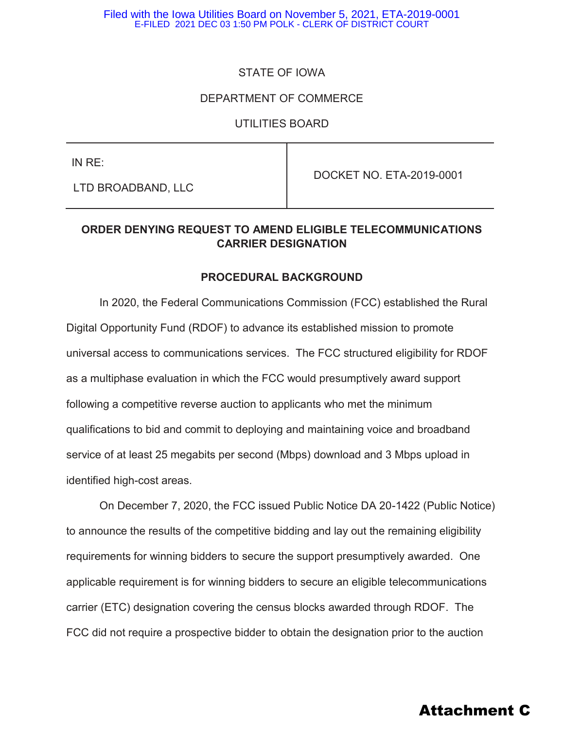# STATE OF IOWA

## DEPARTMENT OF COMMERCE

#### UTILITIES BOARD

IN RE:

LTD BROADBAND, LLC

DOCKET NO. ETA-2019-0001

# **ORDER DENYING REQUEST TO AMEND ELIGIBLE TELECOMMUNICATIONS CARRIER DESIGNATION**

#### **PROCEDURAL BACKGROUND**

In 2020, the Federal Communications Commission (FCC) established the Rural Digital Opportunity Fund (RDOF) to advance its established mission to promote universal access to communications services. The FCC structured eligibility for RDOF as a multiphase evaluation in which the FCC would presumptively award support following a competitive reverse auction to applicants who met the minimum qualifications to bid and commit to deploying and maintaining voice and broadband service of at least 25 megabits per second (Mbps) download and 3 Mbps upload in identified high-cost areas.

On December 7, 2020, the FCC issued Public Notice DA 20-1422 (Public Notice) to announce the results of the competitive bidding and lay out the remaining eligibility requirements for winning bidders to secure the support presumptively awarded. One applicable requirement is for winning bidders to secure an eligible telecommunications carrier (ETC) designation covering the census blocks awarded through RDOF. The FCC did not require a prospective bidder to obtain the designation prior to the auction

# Attachment C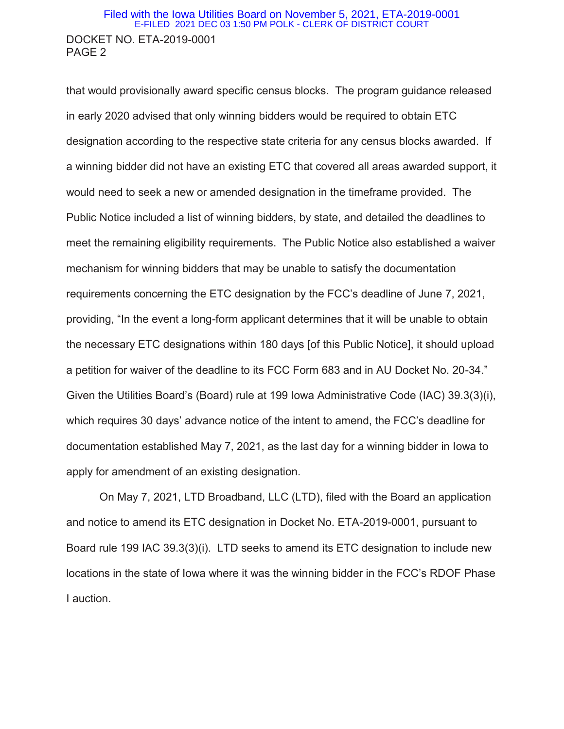## DOCKET NO. ETA-2019-0001 PAGE 2 Filed with the Iowa Utilities Board on November 5, 2021, ETA-2019-0001 E-FILED 2021 DEC 03 1:50 PM POLK - CLERK OF DISTRICT COURT

that would provisionally award specific census blocks. The program guidance released in early 2020 advised that only winning bidders would be required to obtain ETC designation according to the respective state criteria for any census blocks awarded. If a winning bidder did not have an existing ETC that covered all areas awarded support, it would need to seek a new or amended designation in the timeframe provided. The Public Notice included a list of winning bidders, by state, and detailed the deadlines to meet the remaining eligibility requirements. The Public Notice also established a waiver mechanism for winning bidders that may be unable to satisfy the documentation requirements concerning the ETC designation by the FCC's deadline of June 7, 2021, providing, "In the event a long-form applicant determines that it will be unable to obtain the necessary ETC designations within 180 days [of this Public Notice], it should upload a petition for waiver of the deadline to its FCC Form 683 and in AU Docket No. 20-34." Given the Utilities Board's (Board) rule at 199 Iowa Administrative Code (IAC) 39.3(3)(i), which requires 30 days' advance notice of the intent to amend, the FCC's deadline for documentation established May 7, 2021, as the last day for a winning bidder in Iowa to apply for amendment of an existing designation.

On May 7, 2021, LTD Broadband, LLC (LTD), filed with the Board an application and notice to amend its ETC designation in Docket No. ETA-2019-0001, pursuant to Board rule 199 IAC 39.3(3)(i). LTD seeks to amend its ETC designation to include new locations in the state of Iowa where it was the winning bidder in the FCC's RDOF Phase I auction.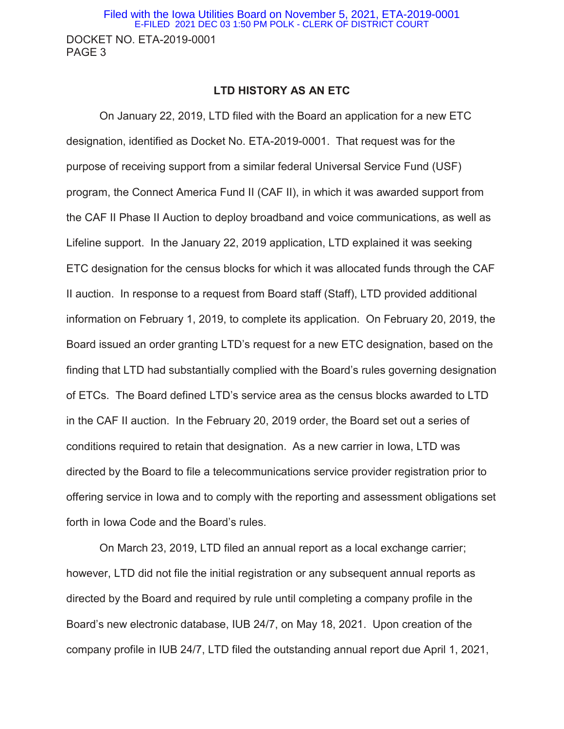#### **LTD HISTORY AS AN ETC**

On January 22, 2019, LTD filed with the Board an application for a new ETC designation, identified as Docket No. ETA-2019-0001. That request was for the purpose of receiving support from a similar federal Universal Service Fund (USF) program, the Connect America Fund II (CAF II), in which it was awarded support from the CAF II Phase II Auction to deploy broadband and voice communications, as well as Lifeline support. In the January 22, 2019 application, LTD explained it was seeking ETC designation for the census blocks for which it was allocated funds through the CAF II auction. In response to a request from Board staff (Staff), LTD provided additional information on February 1, 2019, to complete its application. On February 20, 2019, the Board issued an order granting LTD's request for a new ETC designation, based on the finding that LTD had substantially complied with the Board's rules governing designation of ETCs. The Board defined LTD's service area as the census blocks awarded to LTD in the CAF II auction. In the February 20, 2019 order, the Board set out a series of conditions required to retain that designation. As a new carrier in Iowa, LTD was directed by the Board to file a telecommunications service provider registration prior to offering service in Iowa and to comply with the reporting and assessment obligations set forth in Iowa Code and the Board's rules.

On March 23, 2019, LTD filed an annual report as a local exchange carrier; however, LTD did not file the initial registration or any subsequent annual reports as directed by the Board and required by rule until completing a company profile in the Board's new electronic database, IUB 24/7, on May 18, 2021. Upon creation of the company profile in IUB 24/7, LTD filed the outstanding annual report due April 1, 2021,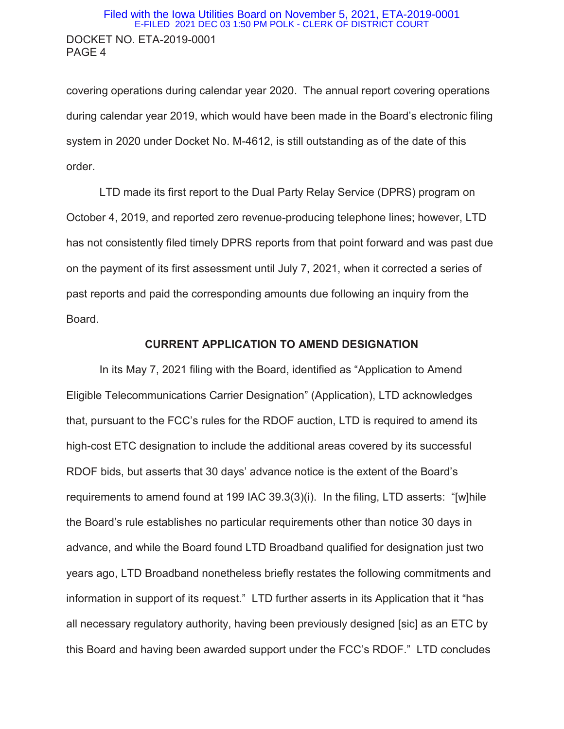## DOCKET NO. ETA-2019-0001 PAGE 4 Filed with the Iowa Utilities Board on November 5, 2021, ETA-2019-0001 E-FILED 2021 DEC 03 1:50 PM POLK - CLERK OF DISTRICT COURT

covering operations during calendar year 2020. The annual report covering operations during calendar year 2019, which would have been made in the Board's electronic filing system in 2020 under Docket No. M-4612, is still outstanding as of the date of this order.

LTD made its first report to the Dual Party Relay Service (DPRS) program on October 4, 2019, and reported zero revenue-producing telephone lines; however, LTD has not consistently filed timely DPRS reports from that point forward and was past due on the payment of its first assessment until July 7, 2021, when it corrected a series of past reports and paid the corresponding amounts due following an inquiry from the Board.

#### **CURRENT APPLICATION TO AMEND DESIGNATION**

In its May 7, 2021 filing with the Board, identified as "Application to Amend Eligible Telecommunications Carrier Designation" (Application), LTD acknowledges that, pursuant to the FCC's rules for the RDOF auction, LTD is required to amend its high-cost ETC designation to include the additional areas covered by its successful RDOF bids, but asserts that 30 days' advance notice is the extent of the Board's requirements to amend found at 199 IAC 39.3(3)(i). In the filing, LTD asserts: "[w]hile the Board's rule establishes no particular requirements other than notice 30 days in advance, and while the Board found LTD Broadband qualified for designation just two years ago, LTD Broadband nonetheless briefly restates the following commitments and information in support of its request." LTD further asserts in its Application that it "has all necessary regulatory authority, having been previously designed [sic] as an ETC by this Board and having been awarded support under the FCC's RDOF." LTD concludes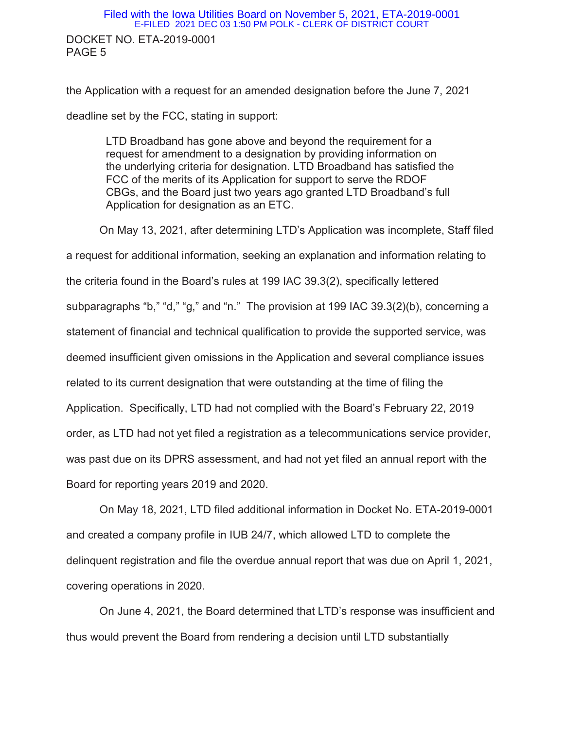# DOCKET NO. ETA-2019-0001 PAGE 5 Filed with the Iowa Utilities Board on November 5, 2021, ETA-2019-0001 E-FILED 2021 DEC 03 1:50 PM POLK - CLERK OF DISTRICT COURT

the Application with a request for an amended designation before the June 7, 2021 deadline set by the FCC, stating in support:

LTD Broadband has gone above and beyond the requirement for a request for amendment to a designation by providing information on the underlying criteria for designation. LTD Broadband has satisfied the FCC of the merits of its Application for support to serve the RDOF CBGs, and the Board just two years ago granted LTD Broadband's full Application for designation as an ETC.

On May 13, 2021, after determining LTD's Application was incomplete, Staff filed a request for additional information, seeking an explanation and information relating to the criteria found in the Board's rules at 199 IAC 39.3(2), specifically lettered subparagraphs "b," "d," "g," and "n." The provision at 199 IAC 39.3(2)(b), concerning a statement of financial and technical qualification to provide the supported service, was deemed insufficient given omissions in the Application and several compliance issues related to its current designation that were outstanding at the time of filing the Application. Specifically, LTD had not complied with the Board's February 22, 2019 order, as LTD had not yet filed a registration as a telecommunications service provider, was past due on its DPRS assessment, and had not yet filed an annual report with the Board for reporting years 2019 and 2020.

On May 18, 2021, LTD filed additional information in Docket No. ETA-2019-0001 and created a company profile in IUB 24/7, which allowed LTD to complete the delinquent registration and file the overdue annual report that was due on April 1, 2021, covering operations in 2020.

On June 4, 2021, the Board determined that LTD's response was insufficient and thus would prevent the Board from rendering a decision until LTD substantially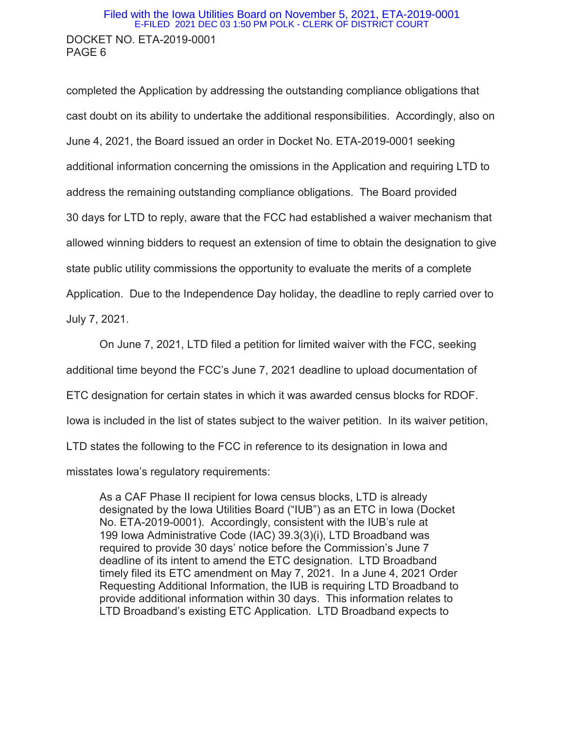## DOCKET NO. ETA-2019-0001 PAGE 6 Filed with the Iowa Utilities Board on November 5, 2021, ETA-2019-0001 E-FILED 2021 DEC 03 1:50 PM POLK - CLERK OF DISTRICT COURT

completed the Application by addressing the outstanding compliance obligations that cast doubt on its ability to undertake the additional responsibilities. Accordingly, also on June 4, 2021, the Board issued an order in Docket No. ETA-2019-0001 seeking additional information concerning the omissions in the Application and requiring LTD to address the remaining outstanding compliance obligations. The Board provided 30 days for LTD to reply, aware that the FCC had established a waiver mechanism that allowed winning bidders to request an extension of time to obtain the designation to give state public utility commissions the opportunity to evaluate the merits of a complete Application. Due to the Independence Day holiday, the deadline to reply carried over to July 7, 2021.

On June 7, 2021, LTD filed a petition for limited waiver with the FCC, seeking additional time beyond the FCC's June 7, 2021 deadline to upload documentation of ETC designation for certain states in which it was awarded census blocks for RDOF. Iowa is included in the list of states subject to the waiver petition. In its waiver petition, LTD states the following to the FCC in reference to its designation in Iowa and

misstates Iowa's regulatory requirements:

As a CAF Phase II recipient for Iowa census blocks, LTD is already designated by the Iowa Utilities Board ("IUB") as an ETC in Iowa (Docket No. ETA-2019-0001). Accordingly, consistent with the IUB's rule at 199 Iowa Administrative Code (IAC) 39.3(3)(i), LTD Broadband was required to provide 30 days' notice before the Commission's June 7 deadline of its intent to amend the ETC designation. LTD Broadband timely filed its ETC amendment on May 7, 2021. In a June 4, 2021 Order Requesting Additional Information, the IUB is requiring LTD Broadband to provide additional information within 30 days. This information relates to LTD Broadband's existing ETC Application. LTD Broadband expects to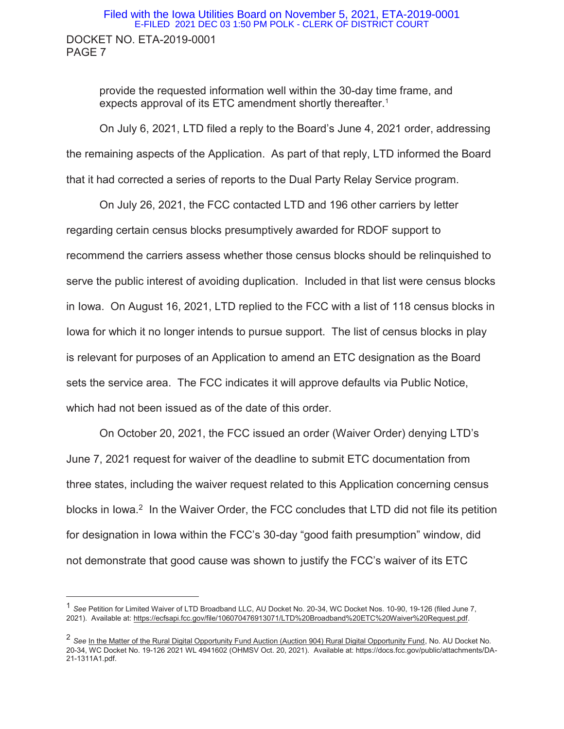# DOCKET NO. ETA-2019-0001 PAGE 7 Filed with the Iowa Utilities Board on November 5, 2021, ETA-2019-0001 E-FILED 2021 DEC 03 1:50 PM POLK - CLERK OF DISTRICT COURT

provide the requested information well within the 30-day time frame, and expects approval of its ETC amendment shortly thereafter.<sup>1</sup>

On July 6, 2021, LTD filed a reply to the Board's June 4, 2021 order, addressing the remaining aspects of the Application. As part of that reply, LTD informed the Board that it had corrected a series of reports to the Dual Party Relay Service program.

On July 26, 2021, the FCC contacted LTD and 196 other carriers by letter regarding certain census blocks presumptively awarded for RDOF support to recommend the carriers assess whether those census blocks should be relinquished to serve the public interest of avoiding duplication. Included in that list were census blocks in Iowa. On August 16, 2021, LTD replied to the FCC with a list of 118 census blocks in Iowa for which it no longer intends to pursue support. The list of census blocks in play is relevant for purposes of an Application to amend an ETC designation as the Board sets the service area. The FCC indicates it will approve defaults via Public Notice, which had not been issued as of the date of this order.

On October 20, 2021, the FCC issued an order (Waiver Order) denying LTD's June 7, 2021 request for waiver of the deadline to submit ETC documentation from three states, including the waiver request related to this Application concerning census blocks in Iowa.<sup>2</sup> In the Waiver Order, the FCC concludes that LTD did not file its petition for designation in Iowa within the FCC's 30-day "good faith presumption" window, did not demonstrate that good cause was shown to justify the FCC's waiver of its ETC

 $\overline{a}$ 

<sup>1</sup> *See* Petition for Limited Waiver of LTD Broadband LLC, AU Docket No. 20-34, WC Docket Nos. 10-90, 19-126 (filed June 7, 2021). Available at: https://ecfsapi.fcc.gov/file/106070476913071/LTD%20Broadband%20ETC%20Waiver%20Request.pdf.

<sup>2</sup> *See* In the Matter of the Rural Digital Opportunity Fund Auction (Auction 904) Rural Digital Opportunity Fund, No. AU Docket No. 20-34, WC Docket No. 19-126 2021 WL 4941602 (OHMSV Oct. 20, 2021). Available at: https://docs.fcc.gov/public/attachments/DA-21-1311A1.pdf.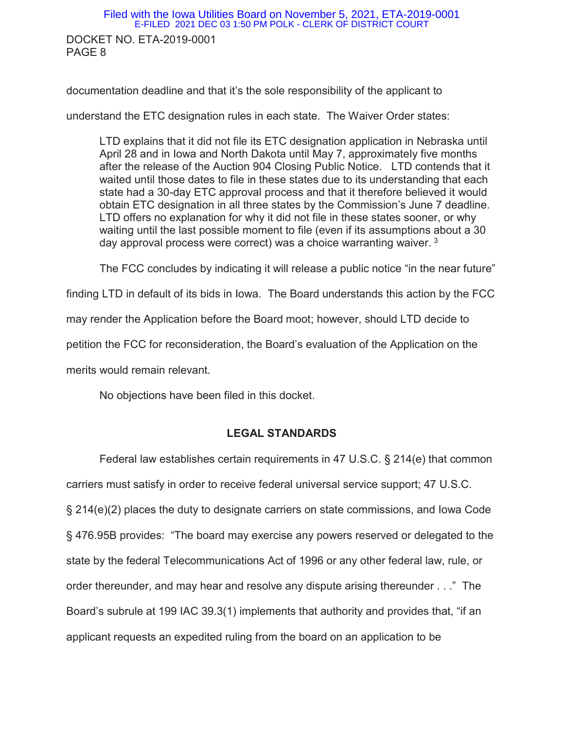DOCKET NO. ETA-2019-0001 PAGE 8 Filed with the Iowa Utilities Board on November 5, 2021, ETA-2019-0001 E-FILED 2021 DEC 03 1:50 PM POLK - CLERK OF DISTRICT COURT

documentation deadline and that it's the sole responsibility of the applicant to

understand the ETC designation rules in each state. The Waiver Order states:

LTD explains that it did not file its ETC designation application in Nebraska until April 28 and in Iowa and North Dakota until May 7, approximately five months after the release of the Auction 904 Closing Public Notice. LTD contends that it waited until those dates to file in these states due to its understanding that each state had a 30-day ETC approval process and that it therefore believed it would obtain ETC designation in all three states by the Commission's June 7 deadline. LTD offers no explanation for why it did not file in these states sooner, or why waiting until the last possible moment to file (even if its assumptions about a 30 day approval process were correct) was a choice warranting waiver.  $3$ 

The FCC concludes by indicating it will release a public notice "in the near future"

finding LTD in default of its bids in Iowa. The Board understands this action by the FCC

may render the Application before the Board moot; however, should LTD decide to

petition the FCC for reconsideration, the Board's evaluation of the Application on the

merits would remain relevant.

No objections have been filed in this docket.

#### **LEGAL STANDARDS**

Federal law establishes certain requirements in 47 U.S.C. § 214(e) that common carriers must satisfy in order to receive federal universal service support; 47 U.S.C. § 214(e)(2) places the duty to designate carriers on state commissions, and Iowa Code § 476.95B provides: "The board may exercise any powers reserved or delegated to the state by the federal Telecommunications Act of 1996 or any other federal law, rule, or order thereunder, and may hear and resolve any dispute arising thereunder . . ." The Board's subrule at 199 IAC 39.3(1) implements that authority and provides that, "if an applicant requests an expedited ruling from the board on an application to be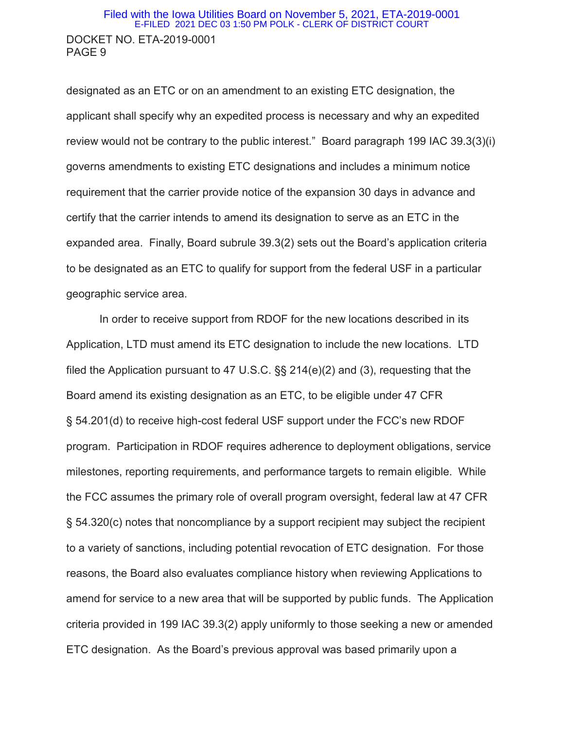## DOCKET NO. ETA-2019-0001 PAGE 9 Filed with the Iowa Utilities Board on November 5, 2021, ETA-2019-0001 E-FILED 2021 DEC 03 1:50 PM POLK - CLERK OF DISTRICT COURT

designated as an ETC or on an amendment to an existing ETC designation, the applicant shall specify why an expedited process is necessary and why an expedited review would not be contrary to the public interest." Board paragraph 199 IAC 39.3(3)(i) governs amendments to existing ETC designations and includes a minimum notice requirement that the carrier provide notice of the expansion 30 days in advance and certify that the carrier intends to amend its designation to serve as an ETC in the expanded area. Finally, Board subrule 39.3(2) sets out the Board's application criteria to be designated as an ETC to qualify for support from the federal USF in a particular geographic service area.

In order to receive support from RDOF for the new locations described in its Application, LTD must amend its ETC designation to include the new locations. LTD filed the Application pursuant to 47 U.S.C. §§ 214(e)(2) and (3), requesting that the Board amend its existing designation as an ETC, to be eligible under 47 CFR § 54.201(d) to receive high-cost federal USF support under the FCC's new RDOF program. Participation in RDOF requires adherence to deployment obligations, service milestones, reporting requirements, and performance targets to remain eligible. While the FCC assumes the primary role of overall program oversight, federal law at 47 CFR § 54.320(c) notes that noncompliance by a support recipient may subject the recipient to a variety of sanctions, including potential revocation of ETC designation. For those reasons, the Board also evaluates compliance history when reviewing Applications to amend for service to a new area that will be supported by public funds. The Application criteria provided in 199 IAC 39.3(2) apply uniformly to those seeking a new or amended ETC designation. As the Board's previous approval was based primarily upon a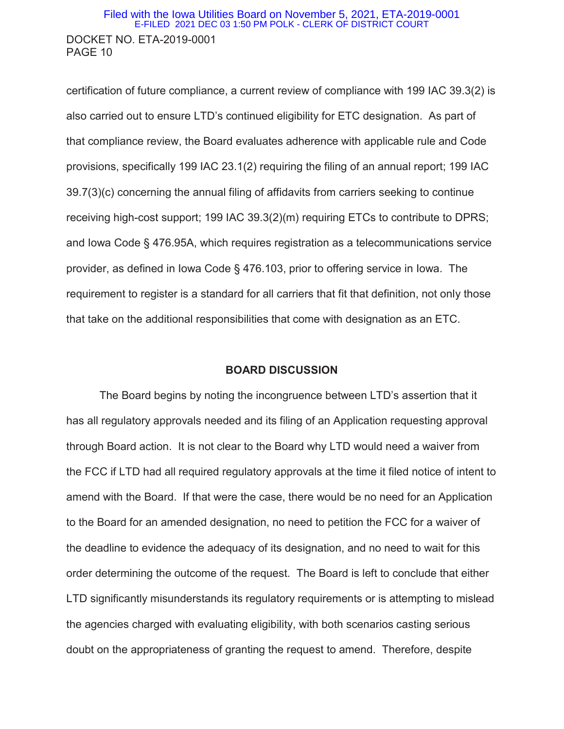## DOCKET NO. ETA-2019-0001 PAGE 10 Filed with the Iowa Utilities Board on November 5, 2021, ETA-2019-0001 E-FILED 2021 DEC 03 1:50 PM POLK - CLERK OF DISTRICT COURT

certification of future compliance, a current review of compliance with 199 IAC 39.3(2) is also carried out to ensure LTD's continued eligibility for ETC designation. As part of that compliance review, the Board evaluates adherence with applicable rule and Code provisions, specifically 199 IAC 23.1(2) requiring the filing of an annual report; 199 IAC 39.7(3)(c) concerning the annual filing of affidavits from carriers seeking to continue receiving high-cost support; 199 IAC 39.3(2)(m) requiring ETCs to contribute to DPRS; and Iowa Code § 476.95A, which requires registration as a telecommunications service provider, as defined in Iowa Code § 476.103, prior to offering service in Iowa. The requirement to register is a standard for all carriers that fit that definition, not only those that take on the additional responsibilities that come with designation as an ETC.

#### **BOARD DISCUSSION**

The Board begins by noting the incongruence between LTD's assertion that it has all regulatory approvals needed and its filing of an Application requesting approval through Board action. It is not clear to the Board why LTD would need a waiver from the FCC if LTD had all required regulatory approvals at the time it filed notice of intent to amend with the Board. If that were the case, there would be no need for an Application to the Board for an amended designation, no need to petition the FCC for a waiver of the deadline to evidence the adequacy of its designation, and no need to wait for this order determining the outcome of the request. The Board is left to conclude that either LTD significantly misunderstands its regulatory requirements or is attempting to mislead the agencies charged with evaluating eligibility, with both scenarios casting serious doubt on the appropriateness of granting the request to amend. Therefore, despite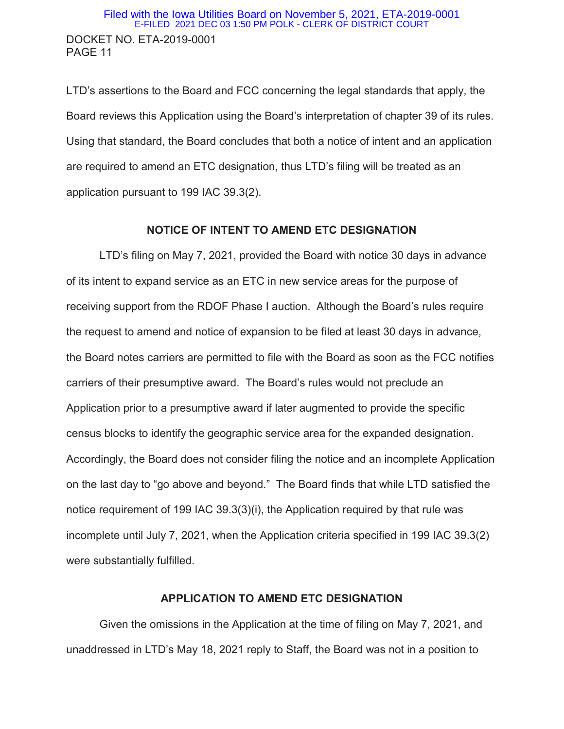LTD's assertions to the Board and FCC concerning the legal standards that apply, the Board reviews this Application using the Board's interpretation of chapter 39 of its rules. Using that standard, the Board concludes that both a notice of intent and an application are required to amend an ETC designation, thus LTD's filing will be treated as an application pursuant to 199 IAC 39.3(2).

#### **NOTICE OF INTENT TO AMEND ETC DESIGNATION**

LTD's filing on May 7, 2021, provided the Board with notice 30 days in advance of its intent to expand service as an ETC in new service areas for the purpose of receiving support from the RDOF Phase I auction. Although the Board's rules require the request to amend and notice of expansion to be filed at least 30 days in advance, the Board notes carriers are permitted to file with the Board as soon as the FCC notifies carriers of their presumptive award. The Board's rules would not preclude an Application prior to a presumptive award if later augmented to provide the specific census blocks to identify the geographic service area for the expanded designation. Accordingly, the Board does not consider filing the notice and an incomplete Application on the last day to "go above and beyond." The Board finds that while LTD satisfied the notice requirement of 199 IAC 39.3(3)(i), the Application required by that rule was incomplete until July 7, 2021, when the Application criteria specified in 199 IAC 39.3(2) were substantially fulfilled.

#### **APPLICATION TO AMEND ETC DESIGNATION**

Given the omissions in the Application at the time of filing on May 7, 2021, and unaddressed in LTD's May 18, 2021 reply to Staff, the Board was not in a position to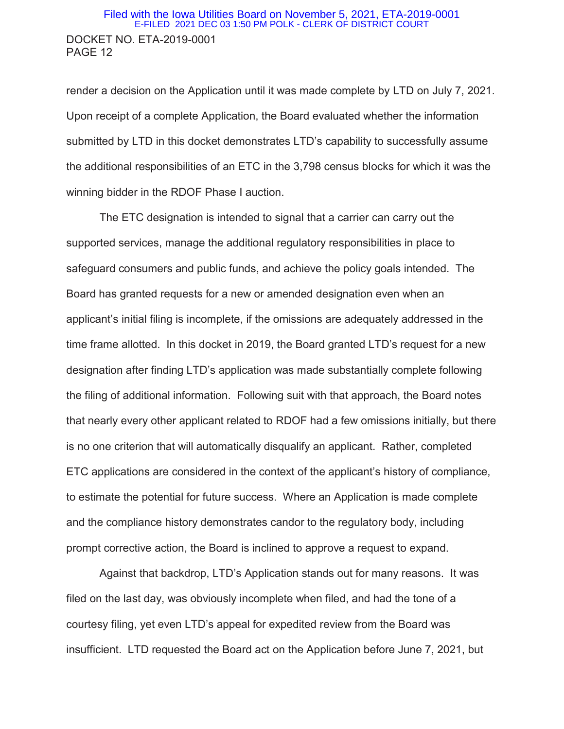## DOCKET NO. ETA-2019-0001 PAGE 12 Filed with the Iowa Utilities Board on November 5, 2021, ETA-2019-0001 E-FILED 2021 DEC 03 1:50 PM POLK - CLERK OF DISTRICT COURT

render a decision on the Application until it was made complete by LTD on July 7, 2021. Upon receipt of a complete Application, the Board evaluated whether the information submitted by LTD in this docket demonstrates LTD's capability to successfully assume the additional responsibilities of an ETC in the 3,798 census blocks for which it was the winning bidder in the RDOF Phase I auction.

The ETC designation is intended to signal that a carrier can carry out the supported services, manage the additional regulatory responsibilities in place to safeguard consumers and public funds, and achieve the policy goals intended. The Board has granted requests for a new or amended designation even when an applicant's initial filing is incomplete, if the omissions are adequately addressed in the time frame allotted. In this docket in 2019, the Board granted LTD's request for a new designation after finding LTD's application was made substantially complete following the filing of additional information. Following suit with that approach, the Board notes that nearly every other applicant related to RDOF had a few omissions initially, but there is no one criterion that will automatically disqualify an applicant. Rather, completed ETC applications are considered in the context of the applicant's history of compliance, to estimate the potential for future success. Where an Application is made complete and the compliance history demonstrates candor to the regulatory body, including prompt corrective action, the Board is inclined to approve a request to expand.

Against that backdrop, LTD's Application stands out for many reasons. It was filed on the last day, was obviously incomplete when filed, and had the tone of a courtesy filing, yet even LTD's appeal for expedited review from the Board was insufficient. LTD requested the Board act on the Application before June 7, 2021, but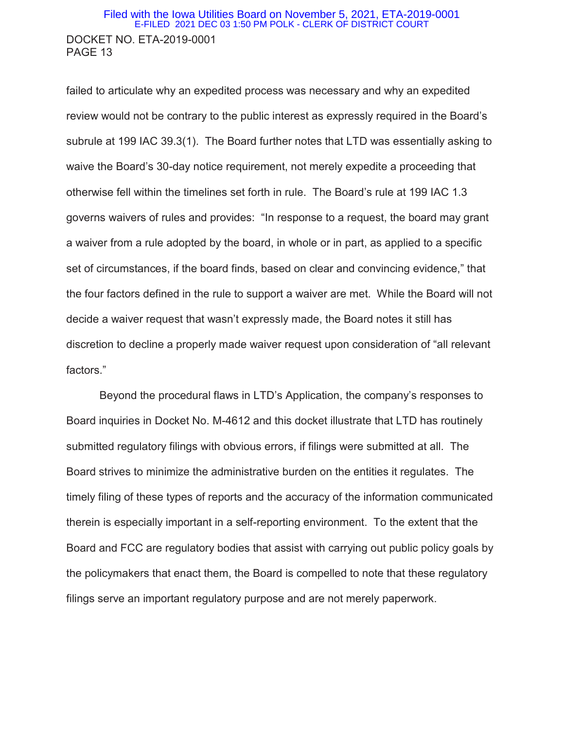## DOCKET NO. ETA-2019-0001 PAGE 13 Filed with the Iowa Utilities Board on November 5, 2021, ETA-2019-0001 E-FILED 2021 DEC 03 1:50 PM POLK - CLERK OF DISTRICT COURT

failed to articulate why an expedited process was necessary and why an expedited review would not be contrary to the public interest as expressly required in the Board's subrule at 199 IAC 39.3(1). The Board further notes that LTD was essentially asking to waive the Board's 30-day notice requirement, not merely expedite a proceeding that otherwise fell within the timelines set forth in rule. The Board's rule at 199 IAC 1.3 governs waivers of rules and provides: "In response to a request, the board may grant a waiver from a rule adopted by the board, in whole or in part, as applied to a specific set of circumstances, if the board finds, based on clear and convincing evidence," that the four factors defined in the rule to support a waiver are met. While the Board will not decide a waiver request that wasn't expressly made, the Board notes it still has discretion to decline a properly made waiver request upon consideration of "all relevant factors."

Beyond the procedural flaws in LTD's Application, the company's responses to Board inquiries in Docket No. M-4612 and this docket illustrate that LTD has routinely submitted regulatory filings with obvious errors, if filings were submitted at all. The Board strives to minimize the administrative burden on the entities it regulates. The timely filing of these types of reports and the accuracy of the information communicated therein is especially important in a self-reporting environment. To the extent that the Board and FCC are regulatory bodies that assist with carrying out public policy goals by the policymakers that enact them, the Board is compelled to note that these regulatory filings serve an important regulatory purpose and are not merely paperwork.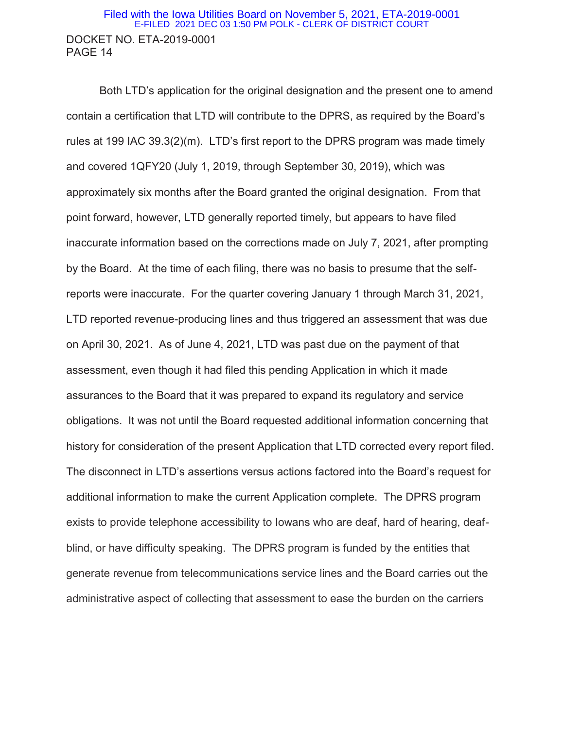#### DOCKET NO. ETA-2019-0001 PAGE 14 Filed with the Iowa Utilities Board on November 5, 2021, ETA-2019-0001 E-FILED 2021 DEC 03 1:50 PM POLK - CLERK OF DISTRICT COURT

Both LTD's application for the original designation and the present one to amend contain a certification that LTD will contribute to the DPRS, as required by the Board's rules at 199 IAC 39.3(2)(m). LTD's first report to the DPRS program was made timely and covered 1QFY20 (July 1, 2019, through September 30, 2019), which was approximately six months after the Board granted the original designation. From that point forward, however, LTD generally reported timely, but appears to have filed inaccurate information based on the corrections made on July 7, 2021, after prompting by the Board. At the time of each filing, there was no basis to presume that the selfreports were inaccurate. For the quarter covering January 1 through March 31, 2021, LTD reported revenue-producing lines and thus triggered an assessment that was due on April 30, 2021. As of June 4, 2021, LTD was past due on the payment of that assessment, even though it had filed this pending Application in which it made assurances to the Board that it was prepared to expand its regulatory and service obligations. It was not until the Board requested additional information concerning that history for consideration of the present Application that LTD corrected every report filed. The disconnect in LTD's assertions versus actions factored into the Board's request for additional information to make the current Application complete. The DPRS program exists to provide telephone accessibility to Iowans who are deaf, hard of hearing, deafblind, or have difficulty speaking. The DPRS program is funded by the entities that generate revenue from telecommunications service lines and the Board carries out the administrative aspect of collecting that assessment to ease the burden on the carriers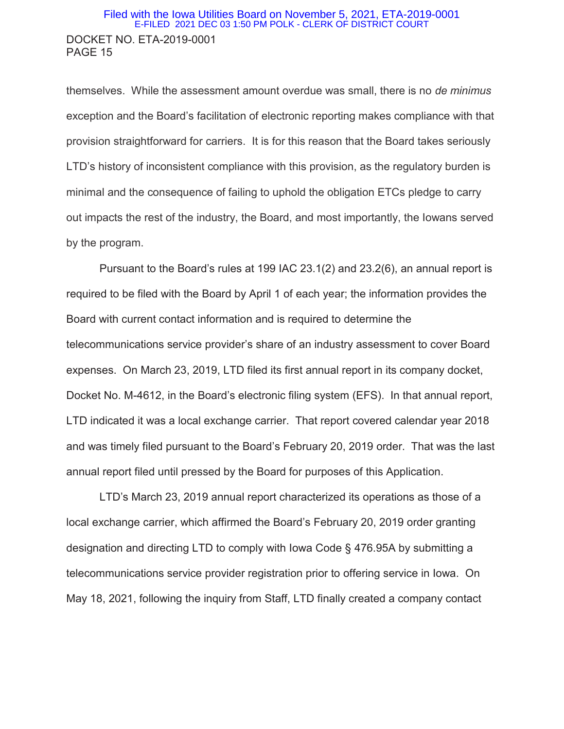## DOCKET NO. ETA-2019-0001 PAGE 15 Filed with the Iowa Utilities Board on November 5, 2021, ETA-2019-0001 E-FILED 2021 DEC 03 1:50 PM POLK - CLERK OF DISTRICT COURT

themselves. While the assessment amount overdue was small, there is no *de minimus* exception and the Board's facilitation of electronic reporting makes compliance with that provision straightforward for carriers. It is for this reason that the Board takes seriously LTD's history of inconsistent compliance with this provision, as the regulatory burden is minimal and the consequence of failing to uphold the obligation ETCs pledge to carry out impacts the rest of the industry, the Board, and most importantly, the Iowans served by the program.

Pursuant to the Board's rules at 199 IAC 23.1(2) and 23.2(6), an annual report is required to be filed with the Board by April 1 of each year; the information provides the Board with current contact information and is required to determine the telecommunications service provider's share of an industry assessment to cover Board expenses. On March 23, 2019, LTD filed its first annual report in its company docket, Docket No. M-4612, in the Board's electronic filing system (EFS). In that annual report, LTD indicated it was a local exchange carrier. That report covered calendar year 2018 and was timely filed pursuant to the Board's February 20, 2019 order. That was the last annual report filed until pressed by the Board for purposes of this Application.

LTD's March 23, 2019 annual report characterized its operations as those of a local exchange carrier, which affirmed the Board's February 20, 2019 order granting designation and directing LTD to comply with Iowa Code § 476.95A by submitting a telecommunications service provider registration prior to offering service in Iowa. On May 18, 2021, following the inquiry from Staff, LTD finally created a company contact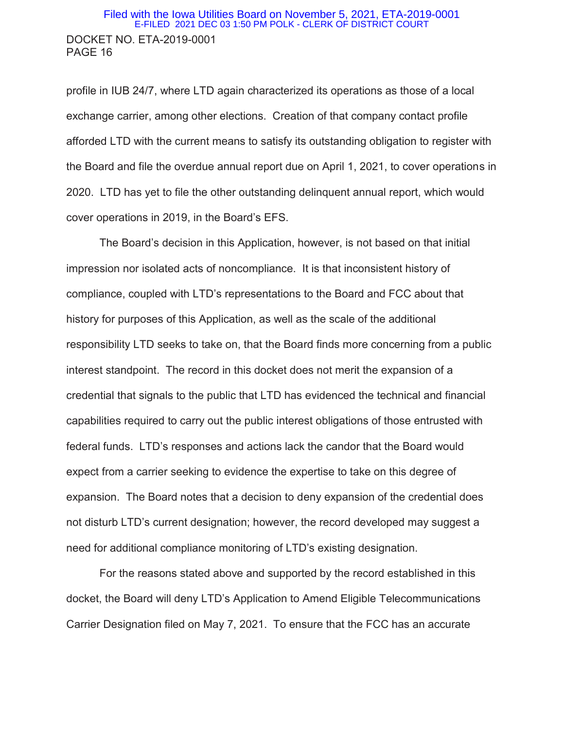## DOCKET NO. ETA-2019-0001 PAGE 16 Filed with the Iowa Utilities Board on November 5, 2021, ETA-2019-0001 E-FILED 2021 DEC 03 1:50 PM POLK - CLERK OF DISTRICT COURT

profile in IUB 24/7, where LTD again characterized its operations as those of a local exchange carrier, among other elections. Creation of that company contact profile afforded LTD with the current means to satisfy its outstanding obligation to register with the Board and file the overdue annual report due on April 1, 2021, to cover operations in 2020. LTD has yet to file the other outstanding delinquent annual report, which would cover operations in 2019, in the Board's EFS.

The Board's decision in this Application, however, is not based on that initial impression nor isolated acts of noncompliance. It is that inconsistent history of compliance, coupled with LTD's representations to the Board and FCC about that history for purposes of this Application, as well as the scale of the additional responsibility LTD seeks to take on, that the Board finds more concerning from a public interest standpoint. The record in this docket does not merit the expansion of a credential that signals to the public that LTD has evidenced the technical and financial capabilities required to carry out the public interest obligations of those entrusted with federal funds. LTD's responses and actions lack the candor that the Board would expect from a carrier seeking to evidence the expertise to take on this degree of expansion. The Board notes that a decision to deny expansion of the credential does not disturb LTD's current designation; however, the record developed may suggest a need for additional compliance monitoring of LTD's existing designation.

For the reasons stated above and supported by the record established in this docket, the Board will deny LTD's Application to Amend Eligible Telecommunications Carrier Designation filed on May 7, 2021. To ensure that the FCC has an accurate